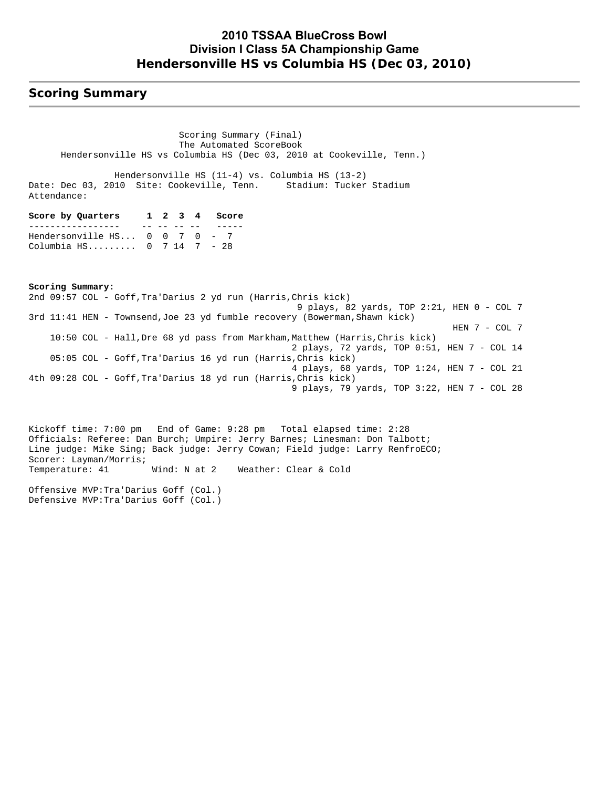### **2010 TSSAA BlueCross Bowl Division I Class 5A Championship Game Hendersonville HS vs Columbia HS (Dec 03, 2010)**

### **Scoring Summary**

 Scoring Summary (Final) The Automated ScoreBook Hendersonville HS vs Columbia HS (Dec 03, 2010 at Cookeville, Tenn.)

 Hendersonville HS (11-4) vs. Columbia HS (13-2) Date: Dec 03, 2010 Site: Cookeville, Tenn. Stadium: Tucker Stadium Attendance:

| Score by Quarters                          |  |            | 1 2 3 4 Score |
|--------------------------------------------|--|------------|---------------|
|                                            |  | __ __ __ _ |               |
| Hendersonville $HS 0 0 7 0 - 7$            |  |            |               |
| Columbia HS $0 \t 7 \t 14 \t 7 \t - \t 28$ |  |            |               |

**Scoring Summary:** 2nd 09:57 COL - Goff,Tra'Darius 2 yd run (Harris,Chris kick) 9 plays, 82 yards, TOP 2:21, HEN 0 - COL 7 3rd 11:41 HEN - Townsend,Joe 23 yd fumble recovery (Bowerman,Shawn kick) HEN 7 - COL 7 10:50 COL - Hall, Dre 68 yd pass from Markham, Matthew (Harris, Chris kick) 2 plays, 72 yards, TOP 0:51, HEN 7 - COL 14 05:05 COL - Goff,Tra'Darius 16 yd run (Harris,Chris kick) 4 plays, 68 yards, TOP 1:24, HEN 7 - COL 21 4th 09:28 COL - Goff,Tra'Darius 18 yd run (Harris,Chris kick) 9 plays, 79 yards, TOP 3:22, HEN 7 - COL 28

Kickoff time: 7:00 pm End of Game: 9:28 pm Total elapsed time: 2:28 Officials: Referee: Dan Burch; Umpire: Jerry Barnes; Linesman: Don Talbott; Line judge: Mike Sing; Back judge: Jerry Cowan; Field judge: Larry RenfroECO; Scorer: Layman/Morris; Temperature: 41 Wind: N at 2 Weather: Clear & Cold

Offensive MVP:Tra'Darius Goff (Col.) Defensive MVP:Tra'Darius Goff (Col.)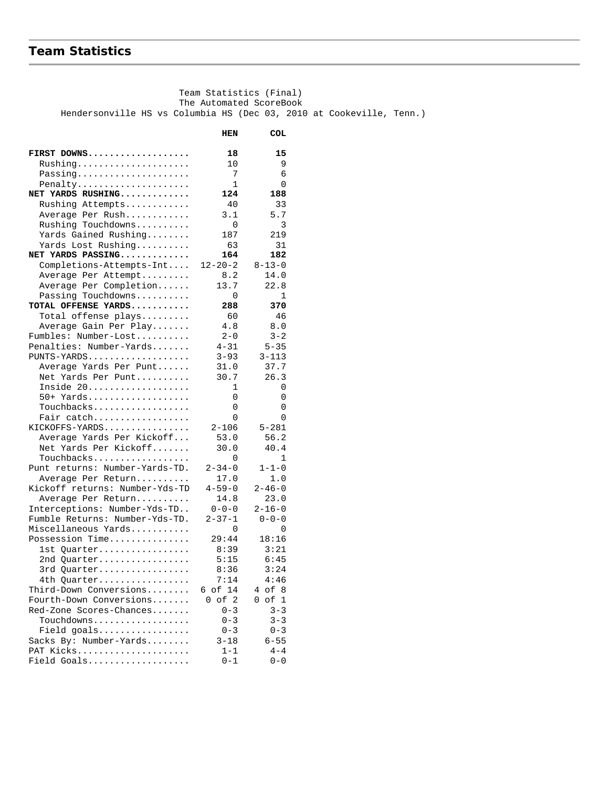#### **Team Statistics**

 Team Statistics (Final) The Automated ScoreBook Hendersonville HS vs Columbia HS (Dec 03, 2010 at Cookeville, Tenn.)  **HEN COL FIRST DOWNS................... 18 15** Rushing..................... 10 9 Passing.................... Penalty..................... 1 0 **NET YARDS RUSHING............. 124 188**  Rushing Attempts............ 40 33 Average Per Rush............ 3.1 5.7 Rushing Touchdowns.......... 0 3 Yards Gained Rushing........ 187 219 Yards Lost Rushing........... 63 31 **NET YARDS PASSING............. 164 182** Completions-Attempts-Int.... 12-20-2 8-13-0 Average Per Attempt.......... 8.2 14.0 Average Per Completion...... 13.7 22.8 Passing Touchdowns.......... 0 1 **TOTAL OFFENSE YARDS........... 288 370** Total offense plays......... 60 46 Average Gain Per Play....... 4.8 8.0 Fumbles: Number-Lost.......... 2-0 3-2 Penalties: Number-Yards....... 4-31<br>PUNTS-YARDS.................. 3-93 PUNTS-YARDS................... 3-93 3-113 Average Yards Per Punt....... 31.0<br>Net Yards Per Punt.......... 30.7 Net Yards Per Punt.......... 30.7 26.3 Inside 20................... 1 0 50+ Yards................... 0 0 Touchbacks.................. 0 0 Fair catch.................. 0 0 KICKOFFS-YARDS................ 2-106 5-281 Average Yards Per Kickoff... 53.0 56.2<br>Net Yards Per Kickoff....... 30.0 40.4 Net Yards Per Kickoff........ 30.0<br>Touchbacks 0  $\begin{tabular}{ll} \texttt{Touchbacks.}\dots\dots\dots\dots\dots\dots\dots & 0 & 1 \\ \texttt{int returns: Number-Yards-TD.} & 2-34-0 & 1-1-0 \end{tabular}$ Punt returns: Number-Yards-TD. Average Per Return.......... 17.0 1.0 Kickoff returns: Number-Yds-TD 4-59-0 2-46-0 Average Per Return........... 14.8 23.0<br>terceptions: Number-Yds-TD.. 0-0-0 2-16-0 Interceptions: Number-Yds-TD.. 0-0-0<br>Fumble Returns: Number-Yds-TD. 2-37-1 Fumble Returns: Number-Yds-TD. 2-37-1 0-0-0 Miscellaneous Yards........... 0 0 Possession Time............... 1st Quarter................. 8:39 3:21 2nd Quarter................. 5:15 6:45 3rd Quarter................. 8:36 3:24 4th Quarter................. 7:14 4:46 Third-Down Conversions........ 6 of 14 4 of 8 Fourth-Down Conversions....... 0 of 2 0 of 1<br>Red-Zone Scores-Chances....... 0-3 3-3 Red-Zone Scores-Chances....... 0-3 3-3<br>Touchdowns................. 0-3 3-3 Touchdowns.................. 0-3 3-3 Field goals................. 0-3 0-3 Sacks By: Number-Yards........ PAT Kicks..................... 1-1 4-4 Field Goals................... 0-1 0-0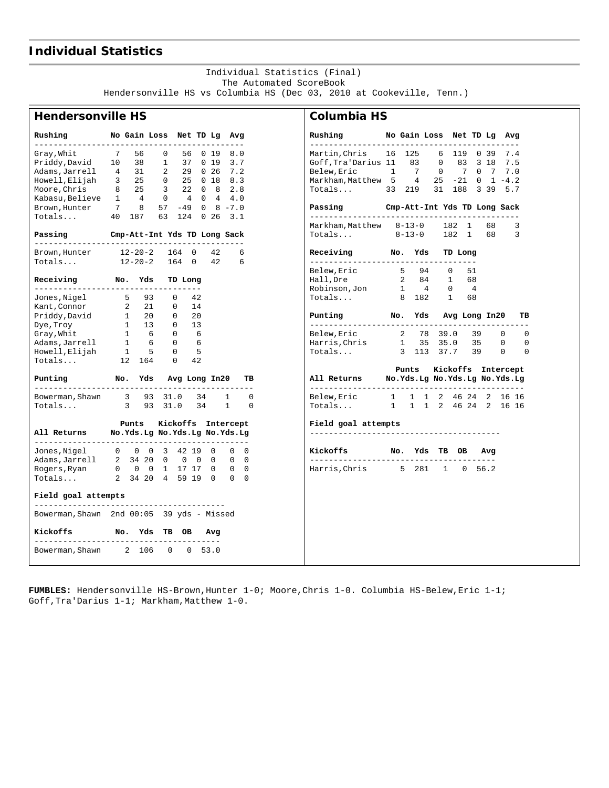### **Individual Statistics**

#### Individual Statistics (Final) The Automated ScoreBook Hendersonville HS vs Columbia HS (Dec 03, 2010 at Cookeville, Tenn.)

## **Hendersonville HS**

| No Gain Loss Net TD Lg Avg<br>Rushing                                                                                                                                        |                                                                    |                          |    |  |    | Rushing<br>------------        |  |
|------------------------------------------------------------------------------------------------------------------------------------------------------------------------------|--------------------------------------------------------------------|--------------------------|----|--|----|--------------------------------|--|
| Gray, Whit 7 56 0 56 0 19 8.0<br>Priddy, David 10 38 1 37 0 19 3.7<br>Adams, Jarrell 4 31 2 29 0 26 7.2                                                                      |                                                                    |                          |    |  |    | Martin, Chris<br>Goff, Tra'Dar |  |
|                                                                                                                                                                              |                                                                    |                          |    |  |    | Belew, Eric<br>Markham, Matt   |  |
| Howell, Elijah 3 25 0 25 0 18 8.3<br>Moore, Chris 8 25 3 22 0 8 2.8<br>Kabasu, Believe 1 4 0 4 0 4 4.0<br>Brown, Hunter 7 8 57 -49 0 8 -7.0<br>Totals 40 187 63 124 0 26 3.1 |                                                                    |                          |    |  |    | Totals                         |  |
|                                                                                                                                                                              |                                                                    |                          |    |  |    | Passing<br>------------        |  |
| Passing Cmp-Att-Int Yds TD Long Sack                                                                                                                                         |                                                                    |                          |    |  |    | Markham, Matt<br>Totals        |  |
| Brown, Hunter 12-20-2 164 0 42 6                                                                                                                                             |                                                                    |                          |    |  |    | Receiving<br>------------      |  |
| Totals 12-20-2 164 0 42 6                                                                                                                                                    |                                                                    |                          |    |  |    | Belew, Eric                    |  |
| Receiving No. Yds TD Long<br>------------------------------------                                                                                                            |                                                                    |                          |    |  |    | Hall, Dre<br>Robinson, Jon     |  |
| Jones, Nigel 5 93 0 42<br>Xant, Connor 2 21 0 14<br>Priddy, David 1 20 0 20                                                                                                  |                                                                    |                          | 14 |  |    | Totals                         |  |
|                                                                                                                                                                              |                                                                    |                          |    |  |    | Punting<br>------------        |  |
| Dye, Troy<br>Crav Whit                                                                                                                                                       | $\begin{array}{cccc} 1 & 13 & 0 & 13 \\ 1 & 6 & 0 & 6 \end{array}$ |                          |    |  |    | Belew, Eric                    |  |
|                                                                                                                                                                              |                                                                    |                          |    |  |    | Harris, Chris                  |  |
| Adams, Jarrell 1 6 0 6<br>Howell, Elijah 1 5 0 5<br>Totals 12 164 0 42                                                                                                       |                                                                    |                          |    |  |    | Totals                         |  |
|                                                                                                                                                                              |                                                                    |                          |    |  |    |                                |  |
| Punting Mo. Yds Avg Long In20<br>_______________________                                                                                                                     |                                                                    |                          |    |  | TB | All Returns<br>------------    |  |
| Bowerman, Shawn 3 93 31.0 34 1 0                                                                                                                                             |                                                                    | 3 93 31.0 34 1 0         |    |  |    | Belew, Eric<br>Totals          |  |
| Totals                                                                                                                                                                       |                                                                    |                          |    |  |    |                                |  |
| All Returns Mo.Yds.Lg No.Yds.Lg No.Yds.Lg                                                                                                                                    |                                                                    | Punts Kickoffs Intercept |    |  |    | Field goal a<br>-------------  |  |
| Jones,Nigel                                                                                                                                                                  | 0 0 0 3 42 19 0 0 0                                                |                          |    |  |    | Kickoffs                       |  |
| Adams, Jarrell 2 34 20 0 0 0 0 0 0                                                                                                                                           |                                                                    |                          |    |  |    | -------------                  |  |
|                                                                                                                                                                              |                                                                    |                          |    |  |    | Harris, Chris                  |  |
| Field goal attempts                                                                                                                                                          |                                                                    |                          |    |  |    |                                |  |
| Bowerman, Shawn 2nd 00:05 39 yds - Missed                                                                                                                                    |                                                                    |                          |    |  |    |                                |  |
| Kickoffs No. Yds TB OB Avg                                                                                                                                                   |                                                                    |                          |    |  |    |                                |  |
| _______________________<br>Bowerman, Shawn 2 106 0 0 53.0                                                                                                                    |                                                                    |                          |    |  |    |                                |  |

#### **Columbia HS**

| Rushing                                  |              | No Gain Loss Net TD Lg                                             |     |                   |                      |              |                |                   | Avg              |    |
|------------------------------------------|--------------|--------------------------------------------------------------------|-----|-------------------|----------------------|--------------|----------------|-------------------|------------------|----|
| Martin,Chris                             | 16           | 125                                                                |     | 6 119 0 39        |                      |              |                |                   | 7.4              |    |
| Goff, Tra'Darius 11                      |              | 83                                                                 |     | $\overline{0}$    |                      | 83           |                | 3 18              | 7.5              |    |
| Belew, Eric                              | 1            | 7                                                                  |     | $\overline{0}$    |                      | $7^{\circ}$  | $\mathbf{0}$   | $7\phantom{.0}\,$ | 7.0              |    |
| Markham, Matthew 5                       |              | $\overline{4}$                                                     |     | 25                |                      |              |                |                   | $-21$ 0 1 $-4.2$ |    |
| Totals                                   |              | 33 219                                                             |     | 31                |                      |              |                |                   | 188 3 39 5.7     |    |
| Passing                                  |              | Cmp-Att-Int Yds TD Long Sack                                       |     |                   |                      |              |                |                   |                  |    |
| Markham,Matthew 8-13-0                   |              |                                                                    |     |                   | 182                  | $\mathbf{1}$ |                | 68                |                  | 3  |
| Totals                                   |              | $8 - 13 - 0$                                                       |     |                   |                      |              |                | 182 1 68          |                  | 3  |
| Receiving<br>--------------------------- |              | No.                                                                | Yds |                   | TD Long<br>--------- |              |                |                   |                  |    |
| Belew, Eric                              |              | 5                                                                  | 94  |                   | $\overline{0}$       |              | 51             |                   |                  |    |
| Hall, Dre                                |              | 2                                                                  | 84  |                   | 1                    |              | 68             |                   |                  |    |
| Robinson,Jon                             |              | $\mathbf{1}$                                                       | 4   |                   | 0                    |              | $\overline{4}$ |                   |                  |    |
| Totals                                   |              | 8                                                                  | 182 |                   | $\mathbf{1}$         |              | 68             |                   |                  |    |
| Punting<br>---------                     |              | No. Yds Avg Long In20                                              |     |                   |                      |              |                |                   |                  | TВ |
| Belew, Eric                              |              | $\overline{a}$                                                     |     | $78$ 39.0         |                      |              | 39             |                   | $\overline{0}$   | 0  |
| Harris,Chris                             |              | $1$ $\,$                                                           | 35  |                   | 35.0                 |              | 35             |                   | 0                | 0  |
| Totals                                   |              | $\overline{3}$                                                     | 113 |                   | 37.7                 |              | 39             |                   | 0                | 0  |
|                                          |              | Punts Kickoffs Intercept                                           |     |                   |                      |              |                |                   |                  |    |
| All Returns<br>$- - - - - -$             |              | No.Yds.Lg No.Yds.Lg No.Yds.Lg<br>--------------------------------- |     |                   |                      |              |                |                   |                  |    |
| Belew, Eric                              |              | 1 1 1 2 46 24 2 16 16                                              |     |                   |                      |              |                |                   |                  |    |
| Totals                                   | $\mathbf{1}$ | $\mathbf{1}$                                                       |     | 1 2 46 24 2 16 16 |                      |              |                |                   |                  |    |
| Field goal attempts                      |              |                                                                    |     |                   |                      |              |                |                   |                  |    |
| Kickoffs                                 |              | No.                                                                | Yds | TВ                |                      | OВ           |                | Avg               |                  |    |
|                                          |              |                                                                    |     |                   |                      |              |                |                   |                  |    |
| Harris,Chris 5 281 1 0 56.2              |              |                                                                    |     |                   |                      |              |                |                   |                  |    |
|                                          |              |                                                                    |     |                   |                      |              |                |                   |                  |    |
|                                          |              |                                                                    |     |                   |                      |              |                |                   |                  |    |
|                                          |              |                                                                    |     |                   |                      |              |                |                   |                  |    |
|                                          |              |                                                                    |     |                   |                      |              |                |                   |                  |    |
|                                          |              |                                                                    |     |                   |                      |              |                |                   |                  |    |
|                                          |              |                                                                    |     |                   |                      |              |                |                   |                  |    |
|                                          |              |                                                                    |     |                   |                      |              |                |                   |                  |    |

**FUMBLES:** Hendersonville HS-Brown,Hunter 1-0; Moore,Chris 1-0. Columbia HS-Belew,Eric 1-1; Goff, Tra'Darius 1-1; Markham, Matthew 1-0.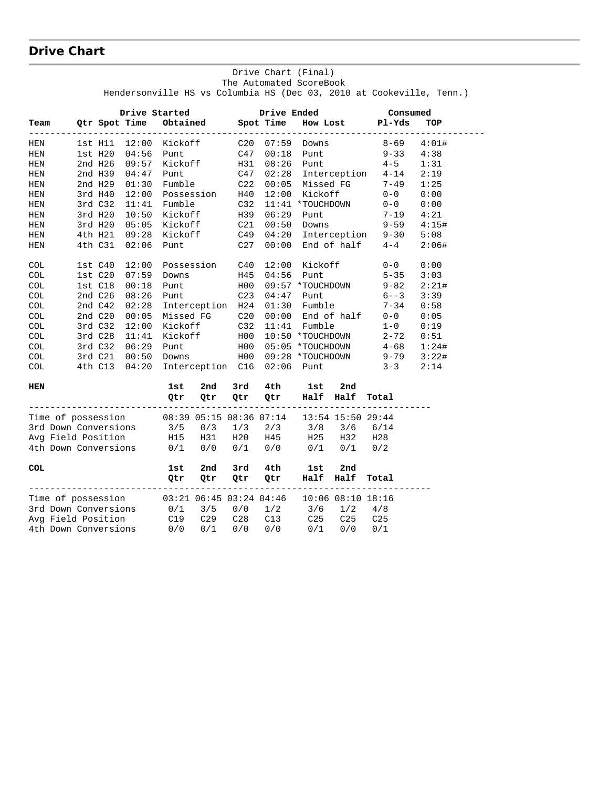## **Drive Chart**

#### Drive Chart (Final) The Automated ScoreBook Hendersonville HS vs Columbia HS (Dec 03, 2010 at Cookeville, Tenn.)

|                      |              | Drive Started                                |            |                         |                 | Drive Ended |                  |                         | Consumed         |       |  |
|----------------------|--------------|----------------------------------------------|------------|-------------------------|-----------------|-------------|------------------|-------------------------|------------------|-------|--|
| Team                 |              | Qtr Spot Time<br><u> La La La La La La L</u> |            | Obtained Spot Time      |                 | . <u>.</u>  |                  |                         | How Lost Pl-Yds  | TOP   |  |
| HEN                  | $1st$ $H11$  | 12:00                                        | Kickoff    |                         | C20             | 07:59       | Downs            |                         | $8 - 69$         | 4:01# |  |
| <b>HEN</b>           | $1st$ H $20$ | 04:56                                        | Punt       |                         | C47             | 00:18       | Punt             |                         | $9 - 33$         | 4:38  |  |
| HEN                  | 2nd H26      | 09:57                                        | Kickoff    |                         | H31             | 08:26       | Punt             |                         | $4 - 5$          | 1:31  |  |
| HEN                  | 2nd H39      | 04:47                                        | Punt       |                         | C47             | 02:28       | Interception     |                         | $4 - 14$         | 2:19  |  |
| <b>HEN</b>           | 2nd H29      | 01:30                                        | Fumble     |                         | C22             | 00:05       | Missed FG        |                         | $7 - 49$         | 1:25  |  |
| <b>HEN</b>           | 3rd H40      | 12:00                                        | Possession |                         | H40             | 12:00       | Kickoff          |                         | $0 - 0$          | 0:00  |  |
| HEN                  | 3rd C32      | 11:41                                        | Fumble     |                         | C32             | 11:41       | *TOUCHDOWN       |                         | $0 - 0$          | 0:00  |  |
| HEN                  | 3rd H20      | 10:50                                        | Kickoff    |                         | H39             | 06:29       | Punt             |                         | 7-19             | 4:21  |  |
| HEN                  | 3rd H20      | 05:05                                        | Kickoff    |                         | C21             | 00:50       | Downs            |                         | $9 - 59$         | 4:15# |  |
| HEN                  | 4th H21      | 09:28                                        | Kickoff    |                         | C49             | 04:20       | Interception     |                         | $9 - 30$         | 5:08  |  |
| HEN                  | 4th C31      | 02:06                                        | Punt       |                         | C27             | 00:00       |                  | End of half             | $4 - 4$          | 2:06# |  |
| COL                  | 1st C40      | 12:00                                        | Possession |                         | C40             | 12:00       | Kickoff          |                         | $0 - 0$          | 0:00  |  |
| COL                  | 1stC20       | 07:59                                        | Downs      |                         | H45             | 04:56       | Punt             |                         | $5 - 35$         | 3:03  |  |
| COL                  | $1st$ $C18$  | 00:18                                        | Punt       |                         | H00             |             | 09:57 *TOUCHDOWN |                         | $9 - 82$         | 2:21# |  |
| COL                  | 2nd C26      | 08:26                                        | Punt       |                         | C <sub>23</sub> | 04:47       | Punt             |                         | $6 - -3$         | 3:39  |  |
| <b>COL</b>           | 2nd $C42$    | 02:28                                        |            | Interception            | H24             | 01:30       | Fumble           |                         | $7 - 34$         | 0:58  |  |
| COL                  | 2nd C20      | 00:05                                        | Missed FG  |                         | C20             | 00:00       | End of half      |                         | $0 - 0$          | 0:05  |  |
| COL                  | 3rdC32       | 12:00                                        | Kickoff    |                         | C32             | 11:41       | Fumble           |                         | $1 - 0$          | 0:19  |  |
| COL                  | 3rd C28      | 11:41                                        | Kickoff    |                         | H00             |             | 10:50 *TOUCHDOWN |                         | $2 - 72$         | 0:51  |  |
| COL                  | 3rd C32      | 06:29                                        | Punt       |                         | H00             |             | 05:05 *TOUCHDOWN |                         | $4 - 68$         | 1:24# |  |
| COL                  | 3rd C21      | 00:50                                        | Downs      |                         | H00             |             | 09:28 *TOUCHDOWN |                         | $9 - 79$         | 3:22# |  |
| COL                  | 4th C13      | 04:20                                        |            | Interception C16        |                 | 02:06       | Punt             |                         | $3 - 3$          | 2:14  |  |
| HEN                  |              |                                              | 1st        | 2nd                     | 3rd             | 4th         | 1st              | 2nd                     |                  |       |  |
|                      |              |                                              | Qtr        | Qtr                     | Qtr             | Qtr         | Half             | Half<br>-----------     | Total            |       |  |
| Time of possession   |              |                                              |            | 08:39 05:15 08:36 07:14 |                 |             |                  | 13:54 15:50 29:44       |                  |       |  |
| 3rd Down Conversions |              |                                              | 3/5        | 0/3                     | 1/3             | 2/3         | 3/8              | 3/6                     | 6/14             |       |  |
| Avg Field Position   |              |                                              | H15        | H31                     | H20             | H45         | H25              | H32                     | H <sub>2</sub> 8 |       |  |
| 4th Down Conversions |              |                                              | 0/1        | 0/0                     | 0/1             | 0/0         | 0/1              | 0/1                     | 0/2              |       |  |
| COL                  |              |                                              | 1st        | 2nd                     | 3rd             | 4th         | 1st              | 2nd                     |                  |       |  |
|                      |              |                                              | Qtr        | Qtr                     | Qtr             | Qtr         | Half             | Half                    | Total            |       |  |
| Time of possession   |              |                                              |            | 03:21 06:45 03:24 04:46 |                 |             |                  | $10:06$ $08:10$ $18:16$ |                  |       |  |
| 3rd Down Conversions |              |                                              | 0/1        | 3/5                     | 0/0             | 1/2         | 3/6              | 1/2                     | 4/8              |       |  |
| Avg Field Position   |              |                                              | C19        | C29                     | C28             | C13         | C25              | C <sub>25</sub>         | C <sub>25</sub>  |       |  |
| 4th Down Conversions |              |                                              | 0/0        | 0/1                     | 0/0             | 0/0         | 0/1              | 0/0                     | 0/1              |       |  |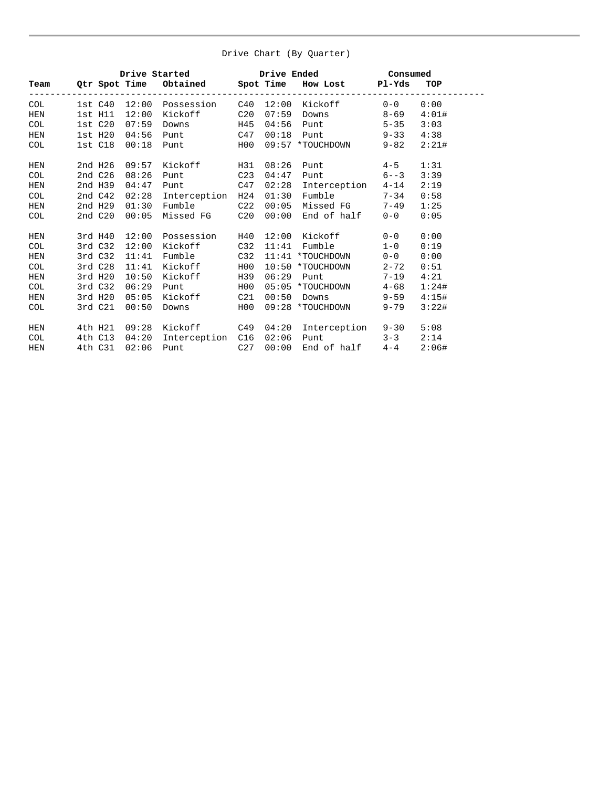#### Drive Chart (By Quarter)

|            |             |       | Drive Started Norweg             |                 |       | Drive Ended       | Consumed |            |
|------------|-------------|-------|----------------------------------|-----------------|-------|-------------------|----------|------------|
| Team       |             |       | Qtr Spot Time Obtained Spot Time |                 |       | How Lost Pl-Yds   |          | <b>TOP</b> |
| <b>COL</b> |             |       | 1st C40 12:00 Possession         | C40             | 12:00 | Kickoff           | $0 - 0$  | 0:00       |
| <b>HEN</b> | $1st$ $H11$ | 12:00 | Kickoff                          | C20             | 07:59 | Downs             | $8 - 69$ | 4:01#      |
| <b>COL</b> | 1st C20     | 07:59 | Downs                            | H45             | 04:56 | <b>Punt</b>       | $5 - 35$ | 3:03       |
| <b>HEN</b> | 1st H2O     | 04:56 | <b>Punt</b>                      | C47             | 00:18 | <b>Punt</b>       | $9 - 33$ | 4:38       |
| <b>COL</b> | 1st C18     | 00:18 | <b>Punt</b>                      | H00             | 09:57 | *TOUCHDOWN        | $9 - 82$ | 2:21#      |
| <b>HEN</b> | 2nd H26     | 09:57 | Kickoff                          | H31             | 08:26 | Punt              | $4 - 5$  | 1:31       |
| <b>COL</b> | 2nd C26     | 08:26 | Punt                             | C <sub>23</sub> | 04:47 | Punt              | $6 - -3$ | 3:39       |
| <b>HEN</b> | 2nd H39     | 04:47 | Punt                             | C47             | 02:28 | Interception      | $4 - 14$ | 2:19       |
| <b>COL</b> | 2nd C42     | 02:28 | Interception                     | H24             | 01:30 | Fumble 7-34       |          | 0:58       |
| HEN        | 2nd H29     | 01:30 | Fumble                           | C <sub>22</sub> | 00:05 | Missed FG         | $7 - 49$ | 1:25       |
| <b>COL</b> | 2nd C20     | 00:05 | Missed FG                        | C20             | 00:00 | End of half       | $0 - 0$  | 0:05       |
| <b>HEN</b> | 3rd H40     | 12:00 | Possession                       | H40             | 12:00 | Kickoff           | $0 - 0$  | 0:00       |
| <b>COL</b> | 3rd C32     | 12:00 | Kickoff                          | C <sub>32</sub> | 11:41 | Fumble            | $1 - 0$  | 0:19       |
| <b>HEN</b> | 3rd C32     | 11:41 | Fumble                           | C <sub>32</sub> | 11:41 | *TOUCHDOWN        | $0 - 0$  | 0:00       |
| <b>COL</b> | 3rd C28     | 11:41 | Kickoff                          | H00             | 10:50 | *TOUCHDOWN        | $2 - 72$ | 0:51       |
| <b>HEN</b> | 3rd H20     | 10:50 | Kickoff                          | H39             | 06:29 | Punt              | $7 - 19$ | 4:21       |
| <b>COL</b> | 3rd C32     | 06:29 | Punt                             | H00             | 05:05 | *TOUCHDOWN        | $4 - 68$ | 1:24#      |
| <b>HEN</b> | 3rd H20     | 05:05 | Kickoff                          | C21             | 00:50 | Downs             | $9 - 59$ | 4:15#      |
| <b>COL</b> | 3rd C21     | 00:50 | Downs                            | H00             |       | 09:28 *TOUCHDOWN  | $9 - 79$ | 3:22#      |
| HEN        | 4th H21     | 09:28 | Kickoff                          | C49             | 04:20 | Interception 9-30 |          | 5:08       |
| <b>COL</b> | 4th C13     | 04:20 | Interception C16                 |                 | 02:06 | Punt              | $3 - 3$  | 2:14       |
| <b>HEN</b> | 4th C31     | 02:06 | <b>Punt</b>                      | C27             | 00:00 | End of half       | $4 - 4$  | 2:06#      |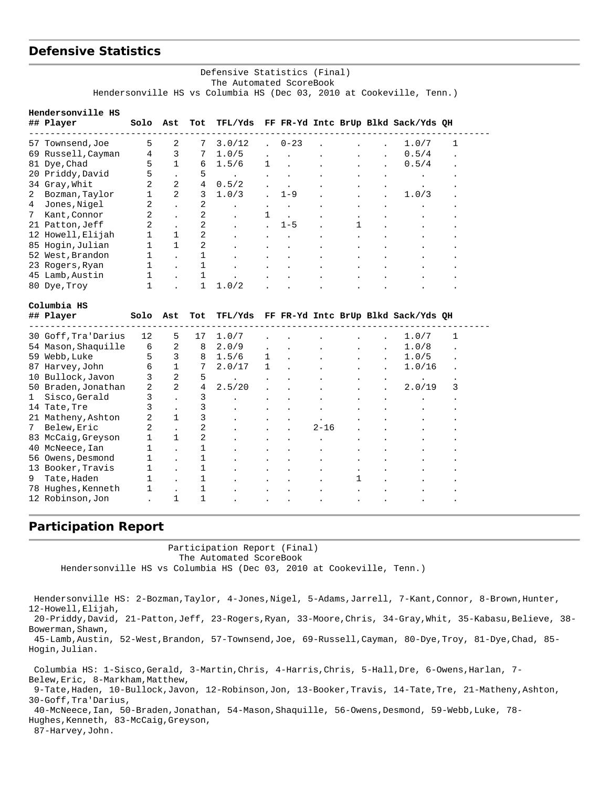### **Defensive Statistics**

 Defensive Statistics (Final) The Automated ScoreBook Hendersonville HS vs Columbia HS (Dec 03, 2010 at Cookeville, Tenn.)

|         | Hendersonville HS<br>## Player | Solo              | Ast               | Tot                        |                      |           |                      |      |   | TFL/Yds FF FR-Yd Intc BrUp Blkd Sack/Yds QH |   |
|---------|--------------------------------|-------------------|-------------------|----------------------------|----------------------|-----------|----------------------|------|---|---------------------------------------------|---|
| 57      | Townsend, Joe                  | 5                 | 2                 | 7                          | 3.0/12               | ÷.        | $0 - 23$             |      |   | 1.0/7                                       | 1 |
| 69      | Russell, Cayman                | 4                 | 3                 | 7                          | 1.0/5                |           | $\ddot{\phantom{a}}$ |      |   | 0.5/4                                       |   |
| 81      | Dye, Chad                      | 5                 | $\mathbf{1}$      | 6                          | 1.5/6                | 1         |                      |      |   | 0.5/4                                       |   |
| 20      | Priddy, David                  | 5                 |                   | 5                          | $\ddot{\phantom{0}}$ |           |                      |      |   |                                             |   |
|         | 34 Gray, Whit                  | $\overline{2}$    | $\overline{a}$    | 4                          | 0.5/2                |           |                      |      |   |                                             |   |
| 2       | Bozman, Taylor                 | 1                 | 2                 | 3                          | 1.0/3                |           | $1 - 9$              |      |   | 1.0/3                                       |   |
| 4       | Jones, Nigel                   | 2                 |                   | 2                          | ٠                    | $\bullet$ |                      |      |   |                                             |   |
| 7       | Kant, Connor                   | 2                 |                   | 2                          |                      | 1         | $\ddot{\phantom{a}}$ |      |   |                                             |   |
| 21      | Patton, Jeff                   | 2                 |                   | 2                          |                      |           | $1 - 5$              |      | 1 |                                             |   |
| 12      | Howell, Elijah                 | 1                 | $\mathbf{1}$      | 2                          |                      |           |                      |      |   |                                             |   |
| 85      | Hogin, Julian                  | $\mathbf{1}$      | $\mathbf{1}$      | $\overline{2}$             |                      |           |                      |      |   |                                             |   |
| 52      | West, Brandon                  | 1                 |                   | 1                          |                      |           |                      |      |   |                                             |   |
| 23      | Rogers, Ryan                   | $\mathbf 1$       |                   | $\mathbf{1}$               |                      |           |                      |      |   |                                             |   |
|         | 45 Lamb, Austin                | 1                 |                   | 1                          |                      |           |                      |      |   |                                             |   |
|         | 80 Dye, Troy                   | $\mathbf{1}$      |                   | $\mathbf{1}$               | 1.0/2                |           |                      |      |   |                                             |   |
|         | Columbia HS                    |                   |                   |                            |                      |           |                      |      |   |                                             |   |
|         | ## Player                      | Solo              | Ast               | Tot                        |                      |           |                      |      |   | TFL/Yds FF FR-Yd Intc BrUp Blkd Sack/Yds QH |   |
|         |                                |                   |                   |                            |                      |           |                      |      |   |                                             |   |
|         |                                |                   |                   |                            |                      |           |                      |      |   |                                             |   |
|         | 30 Goff, Tra'Darius            | 12                | 5                 | 17                         | 1.0/7                |           |                      |      |   | 1.0/7                                       | 1 |
| 54      | Mason, Shaquille               | 6                 | $\overline{a}$    | 8                          | 2.0/9                |           |                      |      |   | 1.0/8                                       |   |
| 59      |                                |                   |                   |                            |                      |           |                      |      |   |                                             |   |
|         | Webb, Luke                     | 5<br>6            | 3<br>$\mathbf{1}$ | 8<br>7                     | 1.5/6                | 1<br>1    |                      |      |   | 1.0/5                                       |   |
| 87      | Harvey, John                   |                   | $\overline{2}$    |                            | 2.0/17               |           |                      |      |   | 1.0/16                                      |   |
| 10      | Bullock, Javon                 | 3<br>2            | $\overline{2}$    | 5<br>4                     |                      |           |                      |      |   | 2.0/19                                      | 3 |
| 1       | 50 Braden, Jonathan            | 3                 | $\overline{a}$    |                            | 2.5/20               |           |                      |      |   |                                             |   |
|         | Sisco, Gerald                  |                   |                   | 3                          |                      |           |                      |      |   |                                             |   |
|         | 14 Tate, Tre                   | 3<br>2            | $\mathbf{1}$      | 3                          |                      |           |                      |      |   |                                             |   |
|         | 21 Matheny, Ashton             |                   |                   | 3                          |                      |           |                      |      |   |                                             |   |
| 7       | Belew, Eric                    | 2<br>$\mathbf{1}$ | $\mathbf{1}$      | 2                          |                      |           |                      | 2-16 |   |                                             |   |
| 83      | McCaig, Greyson                |                   |                   | 2                          |                      |           |                      |      |   |                                             |   |
| 40      | McNeece, Ian                   | 1<br>1            |                   | 1                          |                      |           |                      |      |   |                                             |   |
| 56      | Owens, Desmond                 |                   |                   | $\mathbf 1$                |                      |           |                      |      |   |                                             |   |
| 13      | Booker, Travis                 | 1                 |                   | 1                          |                      |           |                      |      |   |                                             |   |
| 9<br>78 | Tate, Haden<br>Hughes, Kenneth | 1<br>$\mathbf{1}$ |                   | $\mathbf 1$<br>$\mathbf 1$ |                      |           |                      |      | 1 |                                             |   |

#### **Participation Report**

Participation Report (Final)

The Automated ScoreBook

Hendersonville HS vs Columbia HS (Dec 03, 2010 at Cookeville, Tenn.)

 Hendersonville HS: 2-Bozman,Taylor, 4-Jones,Nigel, 5-Adams,Jarrell, 7-Kant,Connor, 8-Brown,Hunter, 12-Howell,Elijah,

 20-Priddy,David, 21-Patton,Jeff, 23-Rogers,Ryan, 33-Moore,Chris, 34-Gray,Whit, 35-Kabasu,Believe, 38- Bowerman, Shawn,

 45-Lamb,Austin, 52-West,Brandon, 57-Townsend,Joe, 69-Russell,Cayman, 80-Dye,Troy, 81-Dye,Chad, 85- Hogin,Julian.

 Columbia HS: 1-Sisco,Gerald, 3-Martin,Chris, 4-Harris,Chris, 5-Hall,Dre, 6-Owens,Harlan, 7- Belew, Eric, 8-Markham, Matthew,

 9-Tate,Haden, 10-Bullock,Javon, 12-Robinson,Jon, 13-Booker,Travis, 14-Tate,Tre, 21-Matheny,Ashton, 30-Goff,Tra'Darius,

 40-McNeece,Ian, 50-Braden,Jonathan, 54-Mason,Shaquille, 56-Owens,Desmond, 59-Webb,Luke, 78- Hughes,Kenneth, 83-McCaig,Greyson,

87-Harvey,John.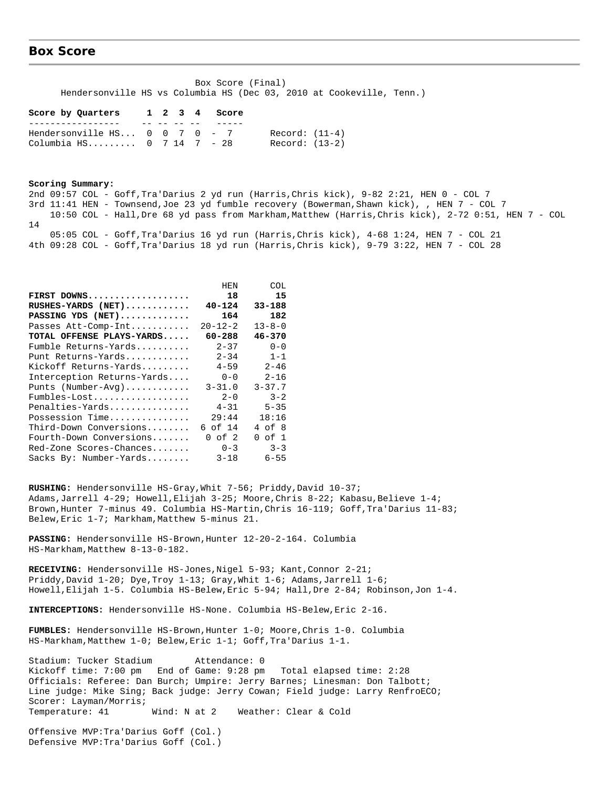#### **Box Score**

 Box Score (Final) Hendersonville HS vs Columbia HS (Dec 03, 2010 at Cookeville, Tenn.)

#### **Score by Quarters 1 2 3 4 Score** ----------------- -- -- -- -- -----

Hendersonville  $HS...$  0 0 7 0 - 7 Record:  $(11-4)$ Columbia HS......... 0 7 14 7 - 28 Record: (13-2)

#### **Scoring Summary:**

2nd 09:57 COL - Goff,Tra'Darius 2 yd run (Harris,Chris kick), 9-82 2:21, HEN 0 - COL 7 3rd 11:41 HEN - Townsend,Joe 23 yd fumble recovery (Bowerman,Shawn kick), , HEN 7 - COL 7 10:50 COL - Hall,Dre 68 yd pass from Markham,Matthew (Harris,Chris kick), 2-72 0:51, HEN 7 - COL 14 05:05 COL - Goff,Tra'Darius 16 yd run (Harris,Chris kick), 4-68 1:24, HEN 7 - COL 21 4th 09:28 COL - Goff,Tra'Darius 18 yd run (Harris,Chris kick), 9-79 3:22, HEN 7 - COL 28

|                            | HEN           | COL          |
|----------------------------|---------------|--------------|
| FIRST DOWNS                | 18            | 15           |
| RUSHES-YARDS (NET)         | $40 - 124$    | $33 - 188$   |
| PASSING YDS (NET)          | 164           | 182          |
| Passes Att-Comp-Int        | $20 - 12 - 2$ | $13 - 8 - 0$ |
| TOTAL OFFENSE PLAYS-YARDS  | 60-288        | $46 - 370$   |
| Fumble Returns-Yards       | $2 - 37$      | $0 - 0$      |
| Punt Returns-Yards         | $2 - 34$      | $1 - 1$      |
| Kickoff Returns-Yards      | $4 - 59$      | $2 - 46$     |
| Interception Returns-Yards | $0 - 0$       | $2 - 16$     |
| Punts (Number-Avg)         | $3 - 31.0$    | $3 - 37.7$   |
| Fumbles-Lost               | $2 - 0$       | $3 - 2$      |
| Penalties-Yards            | $4 - 31$      | $5 - 35$     |
| Possession Time            | 29:44         | 18:16        |
| Third-Down Conversions     | 6 of 14       | 4 of 8       |
| Fourth-Down Conversions    | $0$ of $2$    | of 1<br>0    |
| Red-Zone Scores-Chances    | $0 - 3$       | $3 - 3$      |
| Sacks By: Number-Yards     | $3 - 18$      | $6 - 55$     |

RUSHING: Hendersonville HS-Gray, Whit 7-56; Priddy, David 10-37; Adams,Jarrell 4-29; Howell,Elijah 3-25; Moore,Chris 8-22; Kabasu,Believe 1-4; Brown,Hunter 7-minus 49. Columbia HS-Martin,Chris 16-119; Goff,Tra'Darius 11-83; Belew, Eric 1-7; Markham, Matthew 5-minus 21.

**PASSING:** Hendersonville HS-Brown,Hunter 12-20-2-164. Columbia HS-Markham,Matthew 8-13-0-182.

RECEIVING: Hendersonville HS-Jones, Nigel 5-93; Kant, Connor 2-21; Priddy,David 1-20; Dye,Troy 1-13; Gray,Whit 1-6; Adams,Jarrell 1-6; Howell,Elijah 1-5. Columbia HS-Belew,Eric 5-94; Hall,Dre 2-84; Robinson,Jon 1-4.

**INTERCEPTIONS:** Hendersonville HS-None. Columbia HS-Belew,Eric 2-16.

**FUMBLES:** Hendersonville HS-Brown,Hunter 1-0; Moore,Chris 1-0. Columbia HS-Markham,Matthew 1-0; Belew,Eric 1-1; Goff,Tra'Darius 1-1.

Stadium: Tucker Stadium Attendance: 0 Kickoff time: 7:00 pm End of Game: 9:28 pm Total elapsed time: 2:28 Officials: Referee: Dan Burch; Umpire: Jerry Barnes; Linesman: Don Talbott; Line judge: Mike Sing; Back judge: Jerry Cowan; Field judge: Larry RenfroECO; Scorer: Layman/Morris; Temperature: 41 Wind: N at 2 Weather: Clear & Cold

Offensive MVP:Tra'Darius Goff (Col.) Defensive MVP:Tra'Darius Goff (Col.)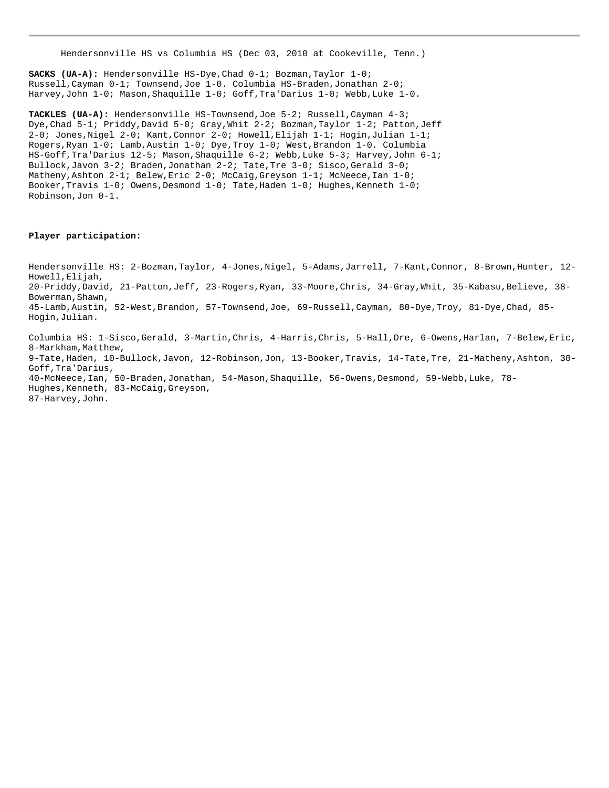Hendersonville HS vs Columbia HS (Dec 03, 2010 at Cookeville, Tenn.)

**SACKS (UA-A):** Hendersonville HS-Dye,Chad 0-1; Bozman,Taylor 1-0; Russell,Cayman 0-1; Townsend,Joe 1-0. Columbia HS-Braden,Jonathan 2-0; Harvey,John 1-0; Mason,Shaquille 1-0; Goff,Tra'Darius 1-0; Webb,Luke 1-0.

**TACKLES (UA-A):** Hendersonville HS-Townsend,Joe 5-2; Russell,Cayman 4-3; Dye,Chad 5-1; Priddy,David 5-0; Gray,Whit 2-2; Bozman,Taylor 1-2; Patton,Jeff 2-0; Jones,Nigel 2-0; Kant,Connor 2-0; Howell,Elijah 1-1; Hogin,Julian 1-1; Rogers,Ryan 1-0; Lamb,Austin 1-0; Dye,Troy 1-0; West,Brandon 1-0. Columbia HS-Goff,Tra'Darius 12-5; Mason,Shaquille 6-2; Webb,Luke 5-3; Harvey,John 6-1; Bullock,Javon 3-2; Braden,Jonathan 2-2; Tate,Tre 3-0; Sisco,Gerald 3-0; Matheny, Ashton 2-1; Belew, Eric 2-0; McCaig, Greyson 1-1; McNeece, Ian 1-0; Booker,Travis 1-0; Owens,Desmond 1-0; Tate,Haden 1-0; Hughes,Kenneth 1-0; Robinson,Jon 0-1.

#### **Player participation:**

Hendersonville HS: 2-Bozman,Taylor, 4-Jones,Nigel, 5-Adams,Jarrell, 7-Kant,Connor, 8-Brown,Hunter, 12- Howell,Elijah, 20-Priddy,David, 21-Patton,Jeff, 23-Rogers,Ryan, 33-Moore,Chris, 34-Gray,Whit, 35-Kabasu,Believe, 38- Bowerman, Shawn, 45-Lamb,Austin, 52-West,Brandon, 57-Townsend,Joe, 69-Russell,Cayman, 80-Dye,Troy, 81-Dye,Chad, 85- Hogin,Julian.

Columbia HS: 1-Sisco,Gerald, 3-Martin,Chris, 4-Harris,Chris, 5-Hall,Dre, 6-Owens,Harlan, 7-Belew,Eric, 8-Markham, Matthew, 9-Tate,Haden, 10-Bullock,Javon, 12-Robinson,Jon, 13-Booker,Travis, 14-Tate,Tre, 21-Matheny,Ashton, 30- Goff,Tra'Darius, 40-McNeece,Ian, 50-Braden,Jonathan, 54-Mason,Shaquille, 56-Owens,Desmond, 59-Webb,Luke, 78- Hughes,Kenneth, 83-McCaig,Greyson, 87-Harvey,John.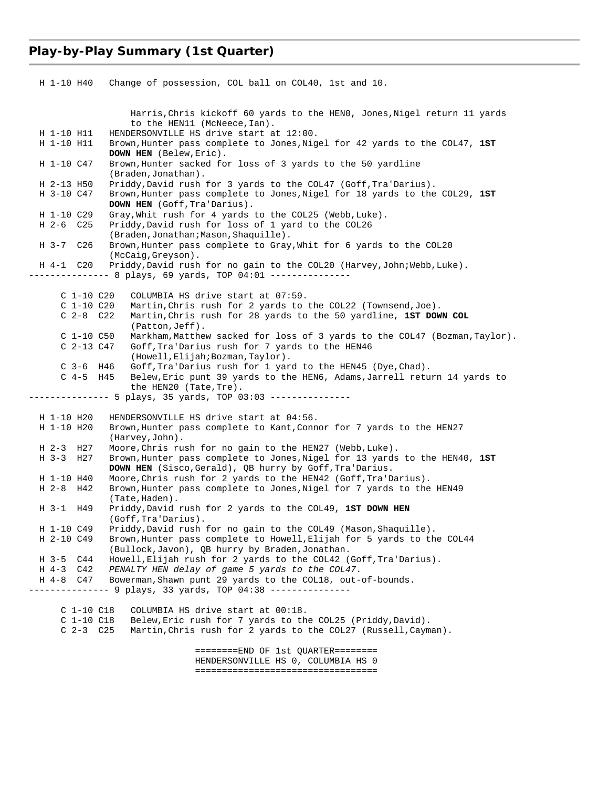## **Play-by-Play Summary (1st Quarter)**

| H 1-10 H40<br>Change of possession, COL ball on COL40, 1st and 10.                                                                          |  |
|---------------------------------------------------------------------------------------------------------------------------------------------|--|
| Harris, Chris kickoff 60 yards to the HENO, Jones, Nigel return 11 yards<br>to the HEN11 (McNeece, Ian).                                    |  |
| HENDERSONVILLE HS drive start at 12:00.<br>H 1-10 H11                                                                                       |  |
| H 1-10 H11<br>Brown, Hunter pass complete to Jones, Nigel for 42 yards to the COL47, 1ST<br>DOWN HEN (Belew, Eric).                         |  |
| H 1-10 C47<br>Brown, Hunter sacked for loss of 3 yards to the 50 yardline<br>(Braden, Jonathan).                                            |  |
| H 2-13 H50<br>Priddy, David rush for 3 yards to the COL47 (Goff, Tra'Darius).                                                               |  |
| H 3-10 C47<br>Brown, Hunter pass complete to Jones, Nigel for 18 yards to the COL29, 1ST<br><b>DOWN HEN</b> (Goff, Tra'Darius).             |  |
| H 1-10 C29<br>Gray, Whit rush for 4 yards to the COL25 (Webb, Luke).                                                                        |  |
| H 2-6 C25<br>Priddy, David rush for loss of 1 yard to the COL26                                                                             |  |
| (Braden,Jonathan;Mason,Shaquille).                                                                                                          |  |
| H 3-7 C26<br>Brown, Hunter pass complete to Gray, Whit for 6 yards to the COL20<br>(McCaig, Greyson).                                       |  |
| Priddy, David rush for no gain to the COL20 (Harvey, John; Webb, Luke).<br>H 4-1 C20<br>------ 8 plays, 69 yards, TOP 04:01 --------------- |  |
| C 1-10 C20<br>COLUMBIA HS drive start at 07:59.                                                                                             |  |
| $C_1-10C_20$<br>Martin, Chris rush for 2 yards to the COL22 (Townsend, Joe).                                                                |  |
| $C2-8 C22$<br>Martin, Chris rush for 28 yards to the 50 yardline, 1ST DOWN COL                                                              |  |
| $(Patton, Jeff)$ .                                                                                                                          |  |
| $C_1-10C50$<br>Markham, Matthew sacked for loss of 3 yards to the COL47 (Bozman, Taylor).                                                   |  |
| C 2-13 C47<br>Goff, Tra'Darius rush for 7 yards to the HEN46                                                                                |  |
| (Howell, Elijah; Bozman, Taylor).                                                                                                           |  |
| $C$ 3-6 H46<br>Goff, Tra'Darius rush for 1 yard to the HEN45 (Dye, Chad).                                                                   |  |
| $C$ 4-5 H45<br>Belew, Eric punt 39 yards to the HEN6, Adams, Jarrell return 14 yards to                                                     |  |
| the HEN20 (Tate, Tre).                                                                                                                      |  |
| ------------- 5 plays, 35 yards, TOP 03:03 ---------------                                                                                  |  |
| H 1-10 H20<br>HENDERSONVILLE HS drive start at 04:56.                                                                                       |  |
| H 1-10 H20<br>Brown, Hunter pass complete to Kant, Connor for 7 yards to the HEN27                                                          |  |
| (Harvey, John).                                                                                                                             |  |
| H 2-3 H 27<br>Moore, Chris rush for no gain to the HEN27 (Webb, Luke).                                                                      |  |
| H 3-3 H 27<br>Brown, Hunter pass complete to Jones, Nigel for 13 yards to the HEN40, 1ST                                                    |  |
| <b>DOWN HEN</b> (Sisco, Gerald), QB hurry by Goff, Tra'Darius.                                                                              |  |
| Moore, Chris rush for 2 yards to the HEN42 (Goff, Tra'Darius).<br>H 1-10 H40                                                                |  |
| H 2-8 H 42<br>Brown, Hunter pass complete to Jones, Nigel for 7 yards to the HEN49<br>(Tate, Haden).                                        |  |
| Priddy, David rush for 2 yards to the COL49, 1ST DOWN HEN<br>H 3-1 H 49                                                                     |  |
| (Goff, Tra'Darius).                                                                                                                         |  |
| Priddy, David rush for no gain to the COL49 (Mason, Shaquille).<br>H 1-10 C49                                                               |  |
| H 2-10 C49<br>Brown, Hunter pass complete to Howell, Elijah for 5 yards to the COL44<br>(Bullock, Javon), QB hurry by Braden, Jonathan.     |  |
| Howell, Elijah rush for 2 yards to the COL42 (Goff, Tra'Darius).<br>H 3-5<br>C44                                                            |  |
| $H$ 4-3<br>C42<br>PENALTY HEN delay of game 5 yards to the COL47.                                                                           |  |
| H 4-8 C47<br>Bowerman, Shawn punt 29 yards to the COL18, out-of-bounds.                                                                     |  |
| ------ 9 plays, 33 yards, TOP 04:38 ---------------                                                                                         |  |
| $C_1-10C18$<br>COLUMBIA HS drive start at 00:18.                                                                                            |  |
| $C_1-10C18$<br>Belew, Eric rush for 7 yards to the COL25 (Priddy, David).                                                                   |  |
| $C$ 2-3 $C$ 25<br>Martin, Chris rush for 2 yards to the COL27 (Russell, Cayman).                                                            |  |
|                                                                                                                                             |  |
| ========END OF 1st QUARTER========                                                                                                          |  |
| HENDERSONVILLE HS 0, COLUMBIA HS 0                                                                                                          |  |
| ====================================                                                                                                        |  |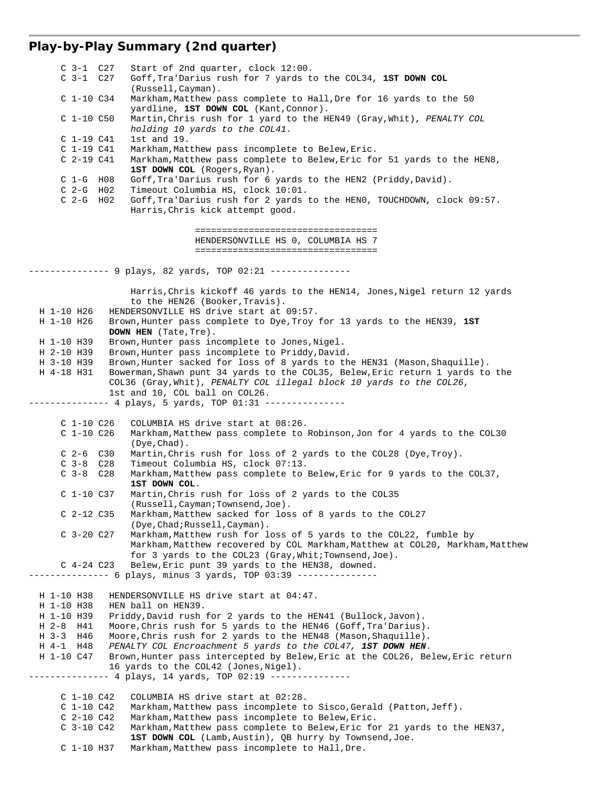# **Play-by-Play Summary (2nd quarter)**

| $C_3-1$ $C_27$  | Start of 2nd quarter, clock 12:00.                                             |
|-----------------|--------------------------------------------------------------------------------|
| $C_3-1$ $C_27$  | Goff, Tra'Darius rush for 7 yards to the COL34, 1ST DOWN COL                   |
|                 | (Russell, Cayman).                                                             |
| $C_1-10C_34$    | Markham, Matthew pass complete to Hall, Dre for 16 yards to the 50             |
|                 | yardline, 1ST DOWN COL (Kant, Connor).                                         |
| $C$ 1-10 $C50$  | Martin, Chris rush for 1 yard to the HEN49 (Gray, Whit), PENALTY COL           |
|                 | holding 10 yards to the COL41.                                                 |
| $C$ 1-19 $C41$  | 1st and 19.                                                                    |
| $C_1-19C41$     | Markham, Matthew pass incomplete to Belew, Eric.                               |
|                 |                                                                                |
| $C2-19 C41$     | Markham, Matthew pass complete to Belew, Eric for 51 yards to the HEN8,        |
|                 | 1ST DOWN COL (Rogers, Ryan).                                                   |
| $C$ 1-G $H08$   | Goff, Tra'Darius rush for 6 yards to the HEN2 (Priddy, David).                 |
| $C$ 2-G H02     | Timeout Columbia HS, clock 10:01.                                              |
| $C2-G$ HO2      | Goff, Tra'Darius rush for 2 yards to the HENO, TOUCHDOWN, clock 09:57.         |
|                 | Harris, Chris kick attempt good.                                               |
|                 |                                                                                |
|                 | =====================================                                          |
|                 | HENDERSONVILLE HS 0, COLUMBIA HS 7                                             |
|                 | ====================================                                           |
|                 |                                                                                |
|                 | ------- 9 plays, 82 yards, TOP 02:21 ---------------                           |
|                 |                                                                                |
|                 | Harris, Chris kickoff 46 yards to the HEN14, Jones, Nigel return 12 yards      |
|                 | to the HEN26 (Booker, Travis).                                                 |
| H 1-10 H26      | HENDERSONVILLE HS drive start at 09:57.                                        |
| H 1-10 H26      | Brown, Hunter pass complete to Dye, Troy for 13 yards to the HEN39, 1ST        |
|                 |                                                                                |
|                 | DOWN HEN (Tate, Tre).                                                          |
| H 1-10 H39      | Brown, Hunter pass incomplete to Jones, Nigel.                                 |
| H 2-10 H39      | Brown, Hunter pass incomplete to Priddy, David.                                |
| H 3-10 H39      | Brown, Hunter sacked for loss of 8 yards to the HEN31 (Mason, Shaquille).      |
| H 4-18 H31      | Bowerman, Shawn punt 34 yards to the COL35, Belew, Eric return 1 yards to the  |
|                 | COL36 (Gray, Whit), PENALTY COL illegal block 10 yards to the COL26,           |
|                 | 1st and 10, COL ball on COL26.                                                 |
|                 | -------- 4 plays, 5 yards, TOP 01:31 ---------------                           |
|                 |                                                                                |
| $C_1-10C_26$    | COLUMBIA HS drive start at 08:26.                                              |
| $C_1-10C_26$    | Markham, Matthew pass complete to Robinson, Jon for 4 yards to the COL30       |
|                 | $(Dye, Chad)$ .                                                                |
| $C$ 2-6 $C$ 30  | Martin, Chris rush for loss of 2 yards to the COL28 (Dye, Troy).               |
| $C_3-8$ $C_28$  | Timeout Columbia HS, clock 07:13.                                              |
| $C_3-8$ $C_28$  | Markham, Matthew pass complete to Belew, Eric for 9 yards to the COL37,        |
|                 | 1ST DOWN COL.                                                                  |
|                 |                                                                                |
| $C$ 1-10 $C$ 37 | Martin, Chris rush for loss of 2 yards to the COL35                            |
|                 | (Russell, Cayman; Townsend, Joe).                                              |
| $C$ 2-12 $C$ 35 | Markham, Matthew sacked for loss of 8 yards to the COL27                       |
|                 | (Dye, Chad; Russell, Cayman).                                                  |
| $C_3-20 C27$    | Markham, Matthew rush for loss of 5 yards to the COL22, fumble by              |
|                 | Markham, Matthew recovered by COL Markham, Matthew at COL20, Markham, Matthew  |
|                 | for 3 yards to the $COL23$ (Gray, Whit; Townsend, Joe).                        |
| $C$ 4-24 $C$ 23 | Belew, Eric punt 39 yards to the HEN38, downed.                                |
|                 | ------------ 6 plays, minus 3 yards, TOP 03:39 --------------                  |
|                 |                                                                                |
| H 1-10 H38      | HENDERSONVILLE HS drive start at 04:47.                                        |
| H 1-10 H38      | HEN ball on HEN39.                                                             |
| H 1-10 H39      | Priddy, David rush for 2 yards to the HEN41 (Bullock, Javon).                  |
| H 2-8 H 41      | Moore, Chris rush for 5 yards to the HEN46 (Goff, Tra'Darius).                 |
| H 3-3 H 46      | Moore, Chris rush for 2 yards to the HEN48 (Mason, Shaquille).                 |
| H 4-1 H48       | PENALTY COL Encroachment 5 yards to the COL47, 1ST DOWN HEN.                   |
| H 1-10 C47      | Brown, Hunter pass intercepted by Belew, Eric at the COL26, Belew, Eric return |
|                 | 16 yards to the COL42 (Jones, Nigel).                                          |
|                 |                                                                                |
|                 | ------- 4 plays, 14 yards, TOP 02:19 ---------------                           |
|                 |                                                                                |
| $C_1-10C_42$    | COLUMBIA HS drive start at 02:28.                                              |
| $C_1-10C_42$    | Markham, Matthew pass incomplete to Sisco, Gerald (Patton, Jeff).              |
| $C2-10 C42$     | Markham, Matthew pass incomplete to Belew, Eric.                               |
| $C_3-10 C42$    | Markham, Matthew pass complete to Belew, Eric for 21 yards to the HEN37,       |
|                 | 1ST DOWN COL (Lamb, Austin), QB hurry by Townsend, Joe.                        |
| $C$ 1-10 H37    | Markham, Matthew pass incomplete to Hall, Dre.                                 |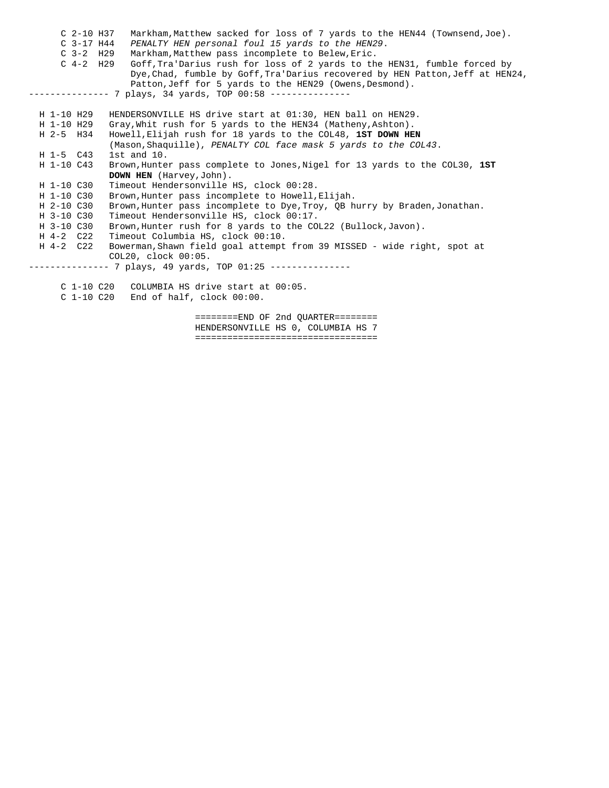| $C2-10$ H37<br>Markham, Matthew sacked for loss of 7 yards to the HEN44 (Townsend, Joe). |
|------------------------------------------------------------------------------------------|
| $C$ 3-17 H44<br>PENALTY HEN personal foul 15 yards to the HEN29.                         |
| $C$ 3-2 H29<br>Markham, Matthew pass incomplete to Belew, Eric.                          |
| $C_4-2$ H29<br>Goff, Tra'Darius rush for loss of 2 yards to the HEN31, fumble forced by  |
| Dye, Chad, fumble by Goff, Tra'Darius recovered by HEN Patton, Jeff at HEN24,            |
| Patton, Jeff for 5 yards to the HEN29 (Owens, Desmond).                                  |
| ---------               7 plays, 34 yards, TOP 00:58 ---------------                     |
|                                                                                          |
| H 1-10 H29<br>HENDERSONVILLE HS drive start at 01:30, HEN ball on HEN29.                 |
| Gray, Whit rush for 5 yards to the HEN34 (Matheny, Ashton).<br>H 1-10 H29                |
| Howell, Elijah rush for 18 yards to the COL48, 1ST DOWN HEN<br>H 2-5 H34                 |
| (Mason, Shaquille), PENALTY COL face mask 5 yards to the COL43.                          |
| $1st$ and $10.$<br>$H$ 1-5 $C43$                                                         |
| H 1-10 C43<br>Brown, Hunter pass complete to Jones, Nigel for 13 yards to the COL30, 1ST |
| <b>DOWN HEN</b> (Harvey, John).                                                          |
| Timeout Hendersonville HS, clock 00:28.<br>H 1-10 C30                                    |
| H 1-10 C30<br>Brown, Hunter pass incomplete to Howell, Elijah.                           |
| H 2-10 C30<br>Brown, Hunter pass incomplete to Dye, Troy, QB hurry by Braden, Jonathan.  |
| H 3-10 C30<br>Timeout Hendersonville HS, clock 00:17.                                    |
| Brown, Hunter rush for 8 yards to the COL22 (Bullock, Javon).<br>H 3-10 C30              |
| Timeout Columbia HS, clock 00:10.<br>H 4-2 C22                                           |
| Bowerman, Shawn field goal attempt from 39 MISSED - wide right, spot at<br>H 4-2 C22     |
| COL20, clock 00:05.                                                                      |
| -------------              7 plays, 49 yards, TOP 01:25 ---------------                  |
|                                                                                          |
| COLUMBIA HS drive start at 00:05.<br>C 1-10 C20                                          |
| $C$ 1-10 $C20$ End of half, clock $00:00$ .                                              |
|                                                                                          |
|                                                                                          |

 ========END OF 2nd QUARTER======== HENDERSONVILLE HS 0, COLUMBIA HS 7 ==================================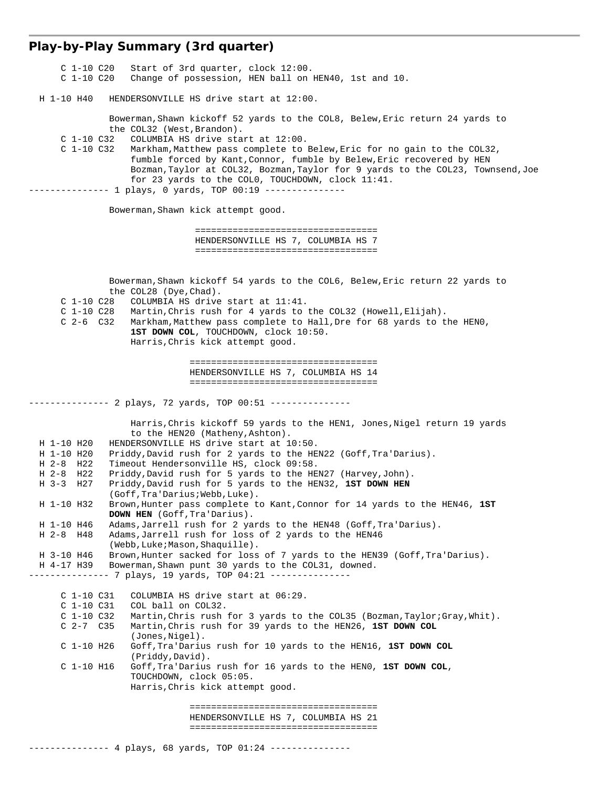# **Play-by-Play Summary (3rd quarter)**

| H 1-10 H40<br>HENDERSONVILLE HS drive start at 12:00.                                                                                                                                                                                                                                                                                                                                                                                                                                                                                                                                                                                                                                                                                                                                                                                                                                                                                                                                                                                                                                                                                                                                                                                                                                                                                                                                                                                                                                                                                                                                                                                                           |
|-----------------------------------------------------------------------------------------------------------------------------------------------------------------------------------------------------------------------------------------------------------------------------------------------------------------------------------------------------------------------------------------------------------------------------------------------------------------------------------------------------------------------------------------------------------------------------------------------------------------------------------------------------------------------------------------------------------------------------------------------------------------------------------------------------------------------------------------------------------------------------------------------------------------------------------------------------------------------------------------------------------------------------------------------------------------------------------------------------------------------------------------------------------------------------------------------------------------------------------------------------------------------------------------------------------------------------------------------------------------------------------------------------------------------------------------------------------------------------------------------------------------------------------------------------------------------------------------------------------------------------------------------------------------|
|                                                                                                                                                                                                                                                                                                                                                                                                                                                                                                                                                                                                                                                                                                                                                                                                                                                                                                                                                                                                                                                                                                                                                                                                                                                                                                                                                                                                                                                                                                                                                                                                                                                                 |
| Bowerman, Shawn kickoff 52 yards to the COL8, Belew, Eric return 24 yards to<br>the COL32 (West, Brandon).<br>C 1-10 C32<br>COLUMBIA HS drive start at 12:00.<br>C 1-10 C32<br>Markham, Matthew pass complete to Belew, Eric for no gain to the COL32,<br>fumble forced by Kant, Connor, fumble by Belew, Eric recovered by HEN<br>Bozman, Taylor at COL32, Bozman, Taylor for 9 yards to the COL23, Townsend, Joe<br>for 23 yards to the COLO, TOUCHDOWN, clock 11:41.<br>------ 1 plays, 0 yards, TOP 00:19 ---------------                                                                                                                                                                                                                                                                                                                                                                                                                                                                                                                                                                                                                                                                                                                                                                                                                                                                                                                                                                                                                                                                                                                                   |
| Bowerman, Shawn kick attempt good.                                                                                                                                                                                                                                                                                                                                                                                                                                                                                                                                                                                                                                                                                                                                                                                                                                                                                                                                                                                                                                                                                                                                                                                                                                                                                                                                                                                                                                                                                                                                                                                                                              |
| ====================================<br>HENDERSONVILLE HS 7, COLUMBIA HS 7<br>=====================================                                                                                                                                                                                                                                                                                                                                                                                                                                                                                                                                                                                                                                                                                                                                                                                                                                                                                                                                                                                                                                                                                                                                                                                                                                                                                                                                                                                                                                                                                                                                             |
| Bowerman, Shawn kickoff 54 yards to the COL6, Belew, Eric return 22 yards to<br>the COL28 (Dye, Chad).<br>C 1-10 C28<br>COLUMBIA HS drive start at 11:41.<br>C 1-10 C28<br>Martin, Chris rush for 4 yards to the COL32 (Howell, Elijah).<br>$C$ 2-6 $C$ 32<br>Markham, Matthew pass complete to Hall, Dre for 68 yards to the HENO,<br>1ST DOWN COL, TOUCHDOWN, clock 10:50.<br>Harris, Chris kick attempt good.                                                                                                                                                                                                                                                                                                                                                                                                                                                                                                                                                                                                                                                                                                                                                                                                                                                                                                                                                                                                                                                                                                                                                                                                                                                |
| =====================================<br>HENDERSONVILLE HS 7, COLUMBIA HS 14<br>======================================                                                                                                                                                                                                                                                                                                                                                                                                                                                                                                                                                                                                                                                                                                                                                                                                                                                                                                                                                                                                                                                                                                                                                                                                                                                                                                                                                                                                                                                                                                                                          |
| --------- 2 plays, 72 yards, TOP 00:51 ---------------                                                                                                                                                                                                                                                                                                                                                                                                                                                                                                                                                                                                                                                                                                                                                                                                                                                                                                                                                                                                                                                                                                                                                                                                                                                                                                                                                                                                                                                                                                                                                                                                          |
| Harris, Chris kickoff 59 yards to the HEN1, Jones, Nigel return 19 yards<br>to the HEN20 (Matheny, Ashton).<br>HENDERSONVILLE HS drive start at 10:50.<br>H 1-10 H20<br>Priddy, David rush for 2 yards to the HEN22 (Goff, Tra'Darius).<br>H 1-10 H20<br>Timeout Hendersonville HS, clock 09:58.<br>H 2-8 H 22<br>$H$ 2-8 $H$ 22<br>Priddy, David rush for 5 yards to the HEN27 (Harvey, John).<br>H 3-3 H 27<br>Priddy, David rush for 5 yards to the HEN32, 1ST DOWN HEN<br>(Goff, Tra'Darius; Webb, Luke).<br>Brown, Hunter pass complete to Kant, Connor for 14 yards to the HEN46, 1ST<br>H 1-10 H32<br><b>DOWN HEN</b> (Goff, Tra'Darius).<br>H 1-10 H46<br>Adams, Jarrell rush for 2 yards to the HEN48 (Goff, Tra'Darius).<br>Adams, Jarrell rush for loss of 2 yards to the HEN46<br>H 2-8 H 48<br>(Webb, Luke; Mason, Shaquille).<br>Brown, Hunter sacked for loss of 7 yards to the HEN39 (Goff, Tra'Darius).<br>H 3-10 H46<br>Bowerman, Shawn punt 30 yards to the COL31, downed.<br>H 4-17 H39<br>-------------- 7 plays, 19 yards, TOP 04:21 ---------------<br>$C_1-10C31$<br>COLUMBIA HS drive start at 06:29.<br>$C$ 1-10 $C31$<br>COL ball on COL32.<br>Martin, Chris rush for 3 yards to the COL35 (Bozman, Taylor; Gray, Whit).<br>$C_1-10C32$<br>$C2-7C35$<br>Martin, Chris rush for 39 yards to the HEN26, 1ST DOWN COL<br>(Jones, Nigel).<br>$C$ 1-10 H26<br>Goff, Tra'Darius rush for 10 yards to the HEN16, 1ST DOWN COL<br>(Priddy, David).<br>$C$ 1-10 H16<br>Goff, Tra'Darius rush for 16 yards to the HENO, 1ST DOWN COL,<br>TOUCHDOWN, clock 05:05.<br>Harris, Chris kick attempt good.<br>====================================== |
| HENDERSONVILLE HS 7, COLUMBIA HS 21<br>-----------------------------------<br>--------------   4 plays, 68 yards, TOP 01:24 ---------------                                                                                                                                                                                                                                                                                                                                                                                                                                                                                                                                                                                                                                                                                                                                                                                                                                                                                                                                                                                                                                                                                                                                                                                                                                                                                                                                                                                                                                                                                                                     |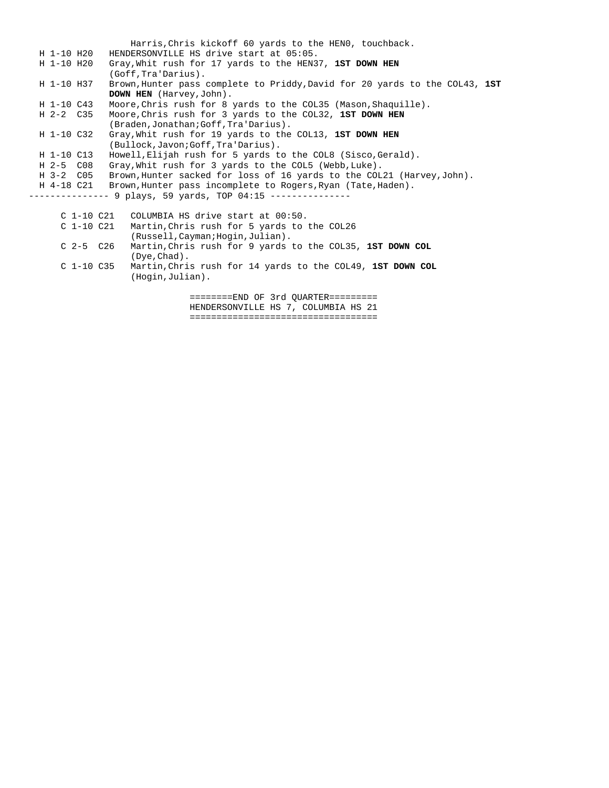Harris,Chris kickoff 60 yards to the HEN0, touchback. H 1-10 H20 HENDERSONVILLE HS drive start at 05:05. H 1-10 H20 Gray,Whit rush for 17 yards to the HEN37, **1ST DOWN HEN** (Goff,Tra'Darius). H 1-10 H37 Brown,Hunter pass complete to Priddy,David for 20 yards to the COL43, **1ST DOWN HEN** (Harvey,John). H 1-10 C43 Moore,Chris rush for 8 yards to the COL35 (Mason,Shaquille). H 2-2 C35 Moore,Chris rush for 3 yards to the COL32, **1ST DOWN HEN** (Braden,Jonathan;Goff,Tra'Darius). H 1-10 C32 Gray,Whit rush for 19 yards to the COL13, **1ST DOWN HEN** (Bullock,Javon;Goff,Tra'Darius). H 1-10 C13 Howell,Elijah rush for 5 yards to the COL8 (Sisco,Gerald). H 2-5 C08 Gray,Whit rush for 3 yards to the COL5 (Webb,Luke). H 3-2 C05 Brown,Hunter sacked for loss of 16 yards to the COL21 (Harvey,John). H 4-18 C21 Brown,Hunter pass incomplete to Rogers,Ryan (Tate,Haden). -------------- 9 plays, 59 yards, TOP 04:15 --------------C 1-10 C21 COLUMBIA HS drive start at 00:50.<br>C 1-10 C21 Martin. Chris rush for 5 vards to Martin, Chris rush for 5 yards to the COL26 (Russell,Cayman;Hogin,Julian).<br>C 2-5 C26 Martin,Chris rush for 9 yards Martin, Chris rush for 9 yards to the COL35, 1ST DOWN COL (Dye,Chad). C 1-10 C35 Martin,Chris rush for 14 yards to the COL49, **1ST DOWN COL** (Hogin,Julian). ========END OF 3rd QUARTER=========

> HENDERSONVILLE HS 7, COLUMBIA HS 21 ===================================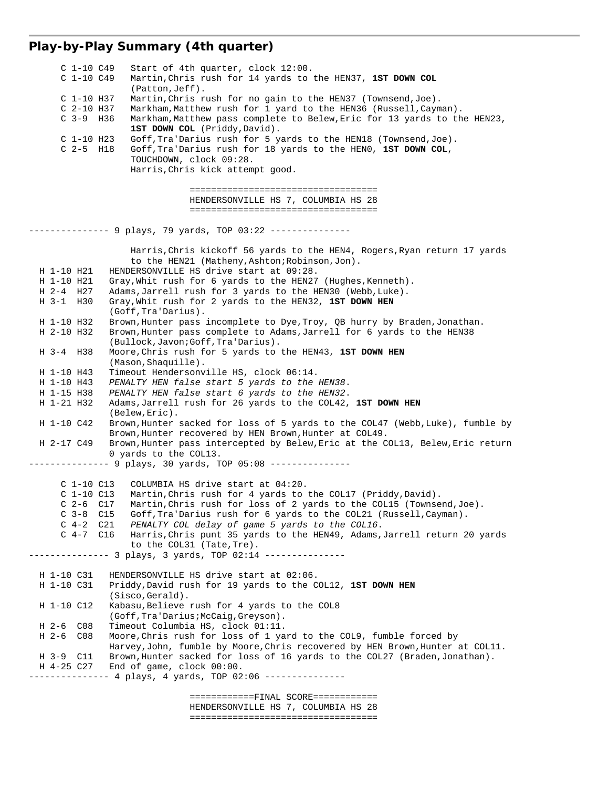## **Play-by-Play Summary (4th quarter)**

| $C_1-10C49$<br>C 1-10 C49 | Start of 4th quarter, clock 12:00.<br>Martin, Chris rush for 14 yards to the HEN37, 1ST DOWN COL          |
|---------------------------|-----------------------------------------------------------------------------------------------------------|
|                           | $(Patton, Jeff)$ .                                                                                        |
| $C$ 1-10 H37              | Martin, Chris rush for no gain to the HEN37 (Townsend, Joe).                                              |
| $C2-10$ H37               | Markham, Matthew rush for 1 yard to the HEN36 (Russell, Cayman).                                          |
| $C$ 3-9 H36               | Markham, Matthew pass complete to Belew, Eric for 13 yards to the HEN23,<br>1ST DOWN COL (Priddy, David). |
| $C$ 1-10 H23              | Goff, Tra'Darius rush for 5 yards to the HEN18 (Townsend, Joe).                                           |
| $C$ 2-5 H18               | Goff, Tra'Darius rush for 18 yards to the HENO, 1ST DOWN COL,                                             |
|                           | TOUCHDOWN, clock 09:28.                                                                                   |
|                           | Harris, Chris kick attempt good.                                                                          |
|                           |                                                                                                           |
|                           | =====================================                                                                     |
|                           | HENDERSONVILLE HS 7, COLUMBIA HS 28                                                                       |
|                           | ======================================                                                                    |
|                           |                                                                                                           |
|                           | ------------ 9 plays, 79 yards, TOP 03:22 ---------------                                                 |
|                           | Harris, Chris kickoff 56 yards to the HEN4, Rogers, Ryan return 17 yards                                  |
|                           | to the HEN21 (Matheny, Ashton; Robinson, Jon).                                                            |
| H 1-10 H21                | HENDERSONVILLE HS drive start at 09:28.                                                                   |
| H 1-10 H21                | Gray, Whit rush for 6 yards to the HEN27 (Hughes, Kenneth).                                               |
| H 2-4 H 27                | Adams, Jarrell rush for 3 yards to the HEN30 (Webb, Luke).                                                |
| H 3-1 H 30                | Gray, Whit rush for 2 yards to the HEN32, 1ST DOWN HEN                                                    |
|                           | (Goff, Tra'Darius).                                                                                       |
| H 1-10 H32<br>H 2-10 H32  | Brown, Hunter pass incomplete to Dye, Troy, QB hurry by Braden, Jonathan.                                 |
|                           | Brown, Hunter pass complete to Adams, Jarrell for 6 yards to the HEN38                                    |
| H 3-4 H 38                | (Bullock, Javon; Goff, Tra'Darius).<br>Moore, Chris rush for 5 yards to the HEN43, 1ST DOWN HEN           |
|                           | (Mason, Shaquille).                                                                                       |
| H 1-10 H43                | Timeout Hendersonville HS, clock 06:14.                                                                   |
| H 1-10 H43                | PENALTY HEN false start 5 yards to the HEN38.                                                             |
| H 1-15 H38                | PENALTY HEN false start 6 yards to the HEN32.                                                             |
| H 1-21 H32                | Adams, Jarrell rush for 26 yards to the COL42, 1ST DOWN HEN                                               |
|                           | $(Belew, Eric)$ .                                                                                         |
| H 1-10 C42                | Brown, Hunter sacked for loss of 5 yards to the COL47 (Webb, Luke), fumble by                             |
|                           | Brown, Hunter recovered by HEN Brown, Hunter at COL49.                                                    |
| H 2-17 C49                | Brown, Hunter pass intercepted by Belew, Eric at the COL13, Belew, Eric return                            |
|                           | 0 yards to the COL13.                                                                                     |
|                           | --------- 9 plays, 30 yards, TOP 05:08 ---------------                                                    |
|                           |                                                                                                           |
| C 1-10 C13                | COLUMBIA HS drive start at 04:20.                                                                         |
| $C_1-10C13$               | Martin, Chris rush for 4 yards to the COL17 (Priddy, David).                                              |
| $C$ 2-6 $C$ 17            | Martin, Chris rush for loss of 2 yards to the COL15 (Townsend, Joe).                                      |
| $C_3-8$ $C_15$            | Goff, Tra'Darius rush for 6 yards to the COL21 (Russell, Cayman).                                         |
| $C_4-2$<br>$C_4-7C16$     | C21<br>PENALTY COL delay of game 5 yards to the COL16.                                                    |
|                           | Harris, Chris punt 35 yards to the HEN49, Adams, Jarrell return 20 yards                                  |
|                           | to the COL31 (Tate, Tre).<br>-------- 3 plays, 3 yards, TOP 02:14 ---------------                         |
|                           |                                                                                                           |
| H 1-10 C31                | HENDERSONVILLE HS drive start at 02:06.                                                                   |
| H 1-10 C31                | Priddy, David rush for 19 yards to the COL12, 1ST DOWN HEN                                                |
|                           | (Sisco, Gerald).                                                                                          |
| H 1-10 C12                | Kabasu, Believe rush for 4 yards to the COL8                                                              |
|                           | (Goff, Tra'Darius; McCaiq, Greyson).                                                                      |
| C <sub>08</sub><br>H 2-6  | Timeout Columbia HS, clock 01:11.                                                                         |
| $H_2-6$<br>CO8            | Moore, Chris rush for loss of 1 yard to the COL9, fumble forced by                                        |
|                           | Harvey, John, fumble by Moore, Chris recovered by HEN Brown, Hunter at COL11.                             |
| H 3-9<br>C11              | Brown, Hunter sacked for loss of 16 yards to the COL27 (Braden, Jonathan).                                |
| H 4-25 C27                | End of game, clock 00:00.                                                                                 |
|                           | ------- 4 plays, 4 yards, TOP 02:06 ---------------                                                       |
|                           |                                                                                                           |
|                           | ============FINAL SCORE============                                                                       |

 HENDERSONVILLE HS 7, COLUMBIA HS 28 ===================================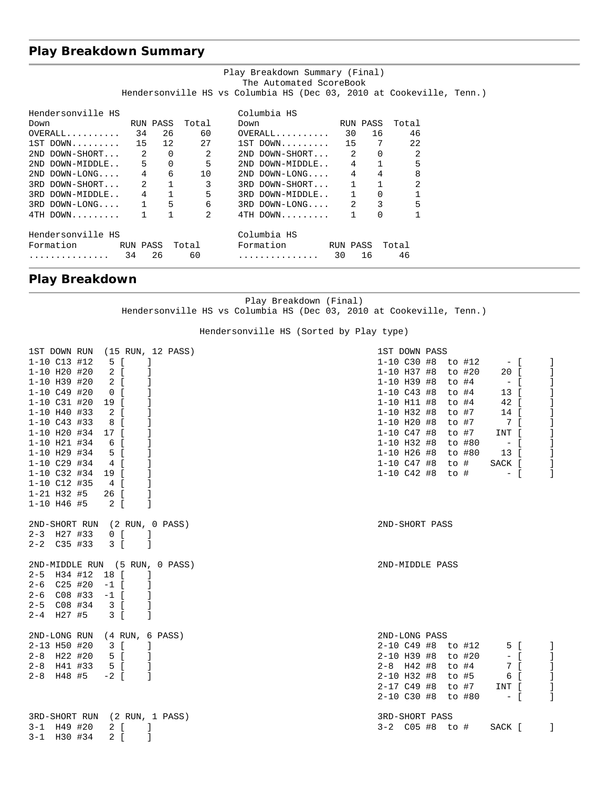## **Play Breakdown Summary**

|                                                                 |                                   |                                     | Play Breakdown Summary (Final)                                       |          |             |                |  |
|-----------------------------------------------------------------|-----------------------------------|-------------------------------------|----------------------------------------------------------------------|----------|-------------|----------------|--|
|                                                                 |                                   |                                     | The Automated ScoreBook                                              |          |             |                |  |
|                                                                 |                                   |                                     | Hendersonville HS vs Columbia HS (Dec 03, 2010 at Cookeville, Tenn.) |          |             |                |  |
|                                                                 |                                   |                                     |                                                                      |          |             |                |  |
| Hendersonville HS                                               |                                   |                                     | Columbia HS                                                          |          |             |                |  |
| RUN PASS Total<br>Down                                          |                                   |                                     | RUN PASS<br>Down                                                     |          |             | Total          |  |
| $\texttt{OVERALL} \dots \dots \dots \quad 34 \quad 26 \quad 60$ |                                   |                                     | $OVERALL$ 30 16                                                      |          |             | 46             |  |
| $1ST$ DOWN $15$ $12$ $27$                                       |                                   |                                     | 1ST DOWN 15 7 22                                                     |          |             |                |  |
| $2ND$ DOWN-SHORT $2$ 0 2                                        |                                   |                                     | $2ND$ DOWN-SHORT $2$ 0                                               |          |             | $\overline{2}$ |  |
| 2ND DOWN-MIDDLE 5 0 5                                           |                                   |                                     | 2ND DOWN-MIDDLE 4 1                                                  |          |             | 5              |  |
| $2ND$ DOWN-LONG 4                                               |                                   | 6 10                                | $2ND$ DOWN-LONG $4$                                                  |          | $4 \quad$   | 8              |  |
| 3RD DOWN-SHORT 2                                                |                                   | $1 \qquad \qquad$<br>$\overline{3}$ | 3RD DOWN-SHORT 1 1                                                   |          |             | $\overline{2}$ |  |
| 3RD DOWN-MIDDLE 4 1                                             |                                   | $5 -$                               | 3RD DOWN-MIDDLE 1                                                    |          | $\mathbf 0$ |                |  |
| $3RD$ $DOWN-LONG$ $1$ $5$                                       |                                   |                                     | $6 \qquad \qquad$<br>$3RD$ DOWN-LONG $2$                             |          |             | 5<br>$3 \sim$  |  |
| $4TH$ DOWN                                                      | $\mathbf{1}$<br>$1 \qquad \qquad$ | $\mathcal{L}$                       | $4TH$ DOWN 1                                                         |          | $\Omega$    |                |  |
| Hendersonville HS                                               |                                   |                                     | Columbia HS                                                          |          |             |                |  |
| Formation RUN PASS Total                                        |                                   |                                     | Formation                                                            | RUN PASS |             | Total          |  |
|                                                                 | 26                                | 60                                  |                                                                      |          | 16          | 46             |  |
| . 34                                                            |                                   |                                     | . 30                                                                 |          |             |                |  |

## **Play Breakdown**

Play Breakdown (Final) Hendersonville HS vs Columbia HS (Dec 03, 2010 at Cookeville, Tenn.)

Hendersonville HS (Sorted by Play type)

| 1ST DOWN RUN                   |      |                                                    | (15 RUN, 12 PASS) | 1ST DOWN PASS      |  |       |        |             |                |
|--------------------------------|------|----------------------------------------------------|-------------------|--------------------|--|-------|--------|-------------|----------------|
| 1-10 C13 #12                   |      | 5 [                                                | -1                | 1-10 C30 #8 to #12 |  |       |        | $ \sqrt{ }$ |                |
| $1 - 10$ H20 #20               |      | 2 [                                                |                   | $1 - 10$ H37 #8    |  |       | to #20 | 20 [        | -1             |
| 1-10 H39 #20                   |      | 2 [                                                |                   | $1 - 10$ H39 #8    |  | to #4 |        | $ \Gamma$   | -1             |
| $1 - 10$ $C49$ #20             |      | $\overline{0}$ $\overline{1}$                      |                   | $1 - 10$ C43 #8    |  | to #4 |        | $13-1$      | -1             |
| 1-10 C31 #20                   |      | 19 [                                               |                   | $1-10$ H11 #8      |  | to #4 |        | 42 [        | J              |
| $1 - 10$ H40 #33               |      | 2 [                                                | 1                 | $1 - 10$ H32 #8    |  | to #7 |        | 14 [        | -1             |
| $1 - 10$ C43 #33               |      | 8 [                                                | -1                | $1-10$ H20 #8      |  | to #7 |        | 7 [         | J.             |
| $1 - 10$ H20 #34               |      | 17 [                                               |                   | 1-10 C47 #8        |  | to #7 |        | INT [       | J.             |
| $1 - 10$ H21 #34               |      | 6 [                                                |                   | $1-10$ H32 #8      |  |       | to #80 | $  \Box$    | -1             |
| $1 - 10$ H29 #34               |      | 5 [                                                |                   | $1-10$ H26 #8      |  |       | to #80 | 13 [        | -1             |
| $1 - 10$ C29 #34               |      | 4 [                                                |                   | 1-10 C47 #8        |  |       | to #   | SACK [      | -1             |
| $1 - 10$ C32 #34               | 19 [ |                                                    |                   | $1 - 10$ $C42$ #8  |  |       | to #   | $-$ [       | $\overline{1}$ |
| $1 - 10$ C12 #35               |      | $4 \left[$                                         |                   |                    |  |       |        |             |                |
| $1 - 21$ H32 #5                |      | 26 [                                               |                   |                    |  |       |        |             |                |
| $1 - 10$ H46 #5                |      | 2 [                                                | 1                 |                    |  |       |        |             |                |
|                                |      |                                                    |                   |                    |  |       |        |             |                |
| 2ND-SHORT RUN (2 RUN, 0 PASS)  |      |                                                    |                   | 2ND-SHORT PASS     |  |       |        |             |                |
| $2-3$ H27 #33                  |      | $\begin{matrix}0\\0\end{matrix}$<br>$\blacksquare$ |                   |                    |  |       |        |             |                |
| $2 - 2$ $C35$ #33              |      | 3 [                                                | -1                |                    |  |       |        |             |                |
| 2ND-MIDDLE RUN (5 RUN, 0 PASS) |      |                                                    |                   | 2ND-MIDDLE PASS    |  |       |        |             |                |
| $2-5$ H34 #12                  | 18 [ |                                                    |                   |                    |  |       |        |             |                |
| $2-6$ $C25$ #20                |      | $-1$ $\Gamma$                                      |                   |                    |  |       |        |             |                |
| 2-6 C08 #33                    |      | $-1$ [                                             | $\mathbf{I}$      |                    |  |       |        |             |                |
| $2-5$ $C08$ #34                |      | $3 \quad$ [                                        | 1                 |                    |  |       |        |             |                |
| 2-4 H27 #5                     |      | $3 \mid$                                           | 1                 |                    |  |       |        |             |                |
| 2ND-LONG RUN (4 RUN, 6 PASS)   |      |                                                    |                   | 2ND-LONG PASS      |  |       |        |             |                |
| 2-13 H50 #20                   |      | 3 [                                                | -1                | 2-10 C49 #8 to #12 |  |       |        | 5 [         | J.             |
| $2 - 8$ H22 #20                |      | 5 [                                                | -1                | 2-10 H39 #8 to #20 |  |       |        | $-$ [       | -1             |
| $2 - 8$ H41 #33                |      | $5 \int$                                           | -1                | $2 - 8$ H42 #8     |  |       | to #4  | 7 I         | J.             |
| $2 - 8$ H48 #5                 |      | $-2$ [                                             |                   | $2 - 10$ H32 #8    |  | to #5 |        | 6 [         | -1             |
|                                |      |                                                    |                   | $2 - 17$ C49 #8    |  | to #7 |        | INT [       | -1             |
|                                |      |                                                    |                   | 2-10 C30 #8 to #80 |  |       |        | $ \Gamma$   | -1             |
|                                |      |                                                    |                   |                    |  |       |        |             |                |
| 3RD-SHORT RUN (2 RUN, 1 PASS)  |      |                                                    |                   | 3RD-SHORT PASS     |  |       |        |             |                |
| $3 - 1$ H49 #20                |      | 2 [                                                | -1                | 3-2 C05 #8 to #    |  |       |        | SACK [      | - 1            |
| 3-1 H30 #34                    |      | $2 \left[ \right]$                                 | 1                 |                    |  |       |        |             |                |